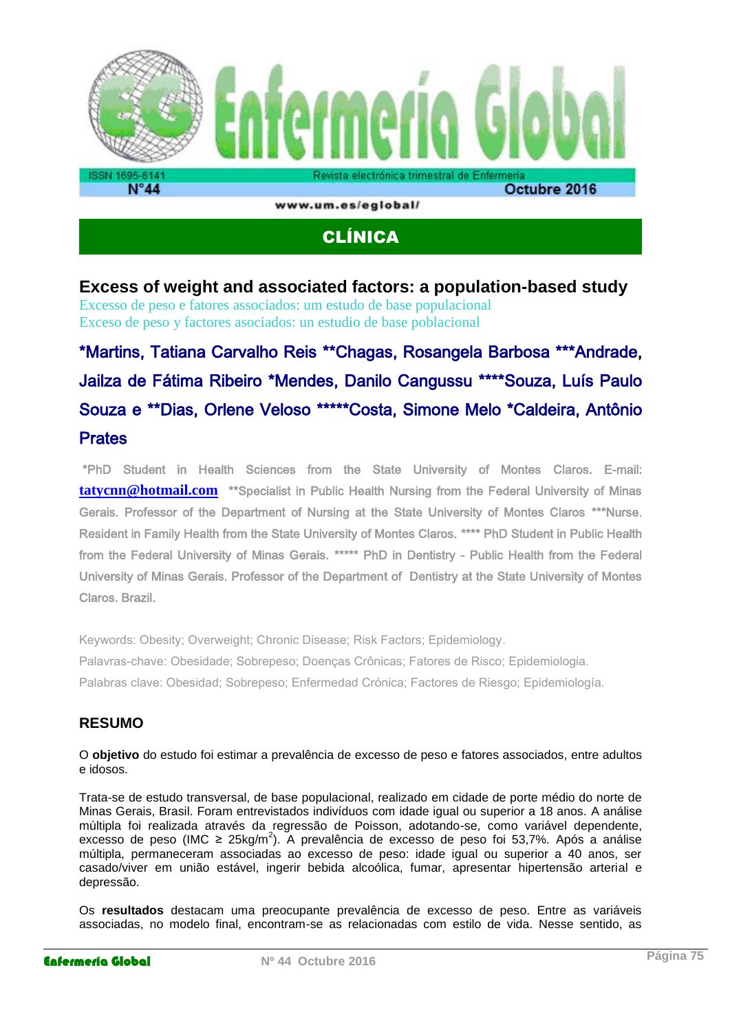

# CLÍNICA

## **Excess of weight and associated factors: a population-based study**

Excesso de peso e fatores associados: um estudo de base populacional Exceso de peso y factores asociados: un estudio de base poblacional

# \*Martins, Tatiana Carvalho Reis \*\*Chagas, Rosangela Barbosa \*\*\*Andrade, Jailza de Fátima Ribeiro \*Mendes, Danilo Cangussu \*\*\*\*Souza, Luís Paulo Souza e \*\*Dias, Orlene Veloso \*\*\*\*\*Costa, Simone Melo \*Caldeira, Antônio **Prates**

 \*PhD Student in Health Sciences from the State University of Montes Claros. E-mail: **[tatycnn@hotmail.com](mailto:tatycnn@hotmail.com)** \*\*Specialist in Public Health Nursing from the Federal University of Minas Gerais. Professor of the Department of Nursing at the State University of Montes Claros \*\*\*Nurse. Resident in Family Health from the State University of Montes Claros. \*\*\*\* PhD Student in Public Health from the Federal University of Minas Gerais. \*\*\*\*\* PhD in Dentistry - Public Health from the Federal University of Minas Gerais. Professor of the Department of Dentistry at the State University of Montes Claros. Brazil.

Keywords: Obesity; Overweight; Chronic Disease; Risk Factors; Epidemiology. Palavras-chave: Obesidade; Sobrepeso; Doenças Crônicas; Fatores de Risco; Epidemiologia. Palabras clave: Obesidad; Sobrepeso; Enfermedad Crónica; Factores de Riesgo; Epidemiología.

### **RESUMO**

#### O **objetivo** do estudo foi estimar a prevalência de excesso de peso e fatores associados, entre adultos e idosos.

Trata-se de estudo transversal, de base populacional, realizado em cidade de porte médio do norte de Minas Gerais, Brasil. Foram entrevistados indivíduos com idade igual ou superior a 18 anos. A análise múltipla foi realizada através da regressão de Poisson, adotando-se, como variável dependente, excesso de peso (IMC ≥ 25kg/m<sup>2</sup>). A prevalência de excesso de peso foi 53,7%. Após a análise múltipla, permaneceram associadas ao excesso de peso: idade igual ou superior a 40 anos, ser casado/viver em união estável, ingerir bebida alcoólica, fumar, apresentar hipertensão arterial e depressão.

Os **resultados** destacam uma preocupante prevalência de excesso de peso. Entre as variáveis associadas, no modelo final, encontram-se as relacionadas com estilo de vida. Nesse sentido, as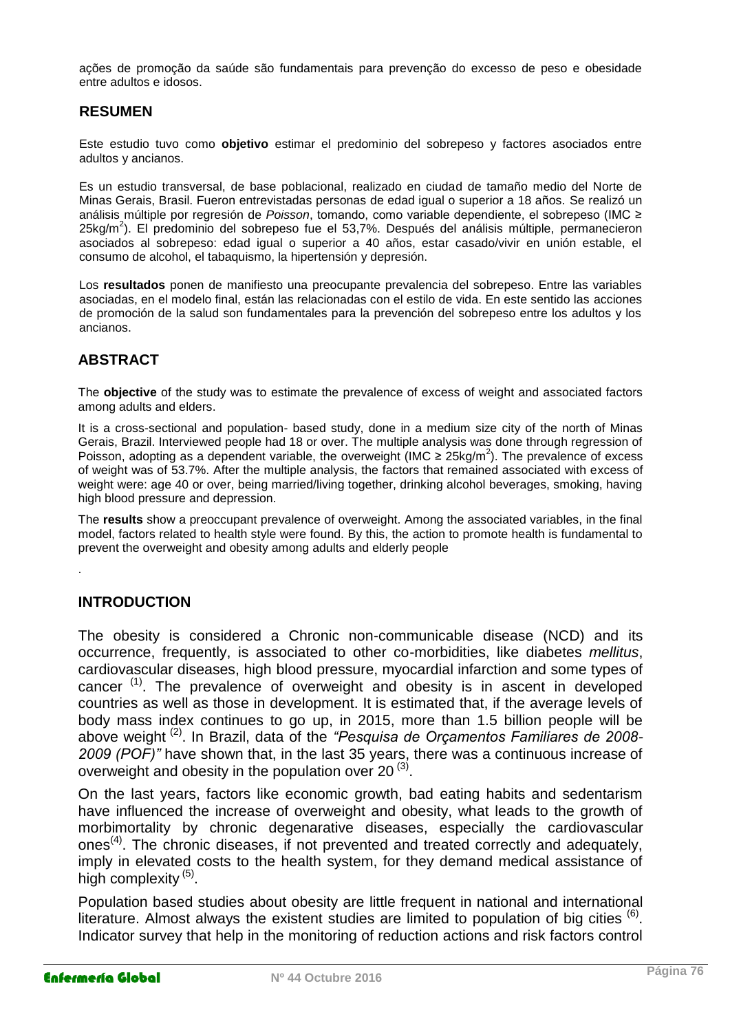ações de promoção da saúde são fundamentais para prevenção do excesso de peso e obesidade entre adultos e idosos.

#### **RESUMEN**

Este estudio tuvo como **objetivo** estimar el predominio del sobrepeso y factores asociados entre adultos y ancianos.

Es un estudio transversal, de base poblacional, realizado en ciudad de tamaño medio del Norte de Minas Gerais, Brasil. Fueron entrevistadas personas de edad igual o superior a 18 años. Se realizó un análisis múltiple por regresión de *Poisson*, tomando, como variable dependiente, el sobrepeso (IMC ≥ 25kg/m<sup>2</sup>). El predominio del sobrepeso fue el 53,7%. Después del análisis múltiple, permanecieron asociados al sobrepeso: edad igual o superior a 40 años, estar casado/vivir en unión estable, el consumo de alcohol, el tabaquismo, la hipertensión y depresión.

Los **resultados** ponen de manifiesto una preocupante prevalencia del sobrepeso. Entre las variables asociadas, en el modelo final, están las relacionadas con el estilo de vida. En este sentido las acciones de promoción de la salud son fundamentales para la prevención del sobrepeso entre los adultos y los ancianos.

## **ABSTRACT**

The **objective** of the study was to estimate the prevalence of excess of weight and associated factors among adults and elders.

It is a cross-sectional and population- based study, done in a medium size city of the north of Minas Gerais, Brazil. Interviewed people had 18 or over. The multiple analysis was done through regression of Poisson, adopting as a dependent variable, the overweight (IMC  $\geq 25$ kg/m<sup>2</sup>). The prevalence of excess of weight was of 53.7%. After the multiple analysis, the factors that remained associated with excess of weight were: age 40 or over, being married/living together, drinking alcohol beverages, smoking, having high blood pressure and depression.

The **results** show a preoccupant prevalence of overweight. Among the associated variables, in the final model, factors related to health style were found. By this, the action to promote health is fundamental to prevent the overweight and obesity among adults and elderly people

#### **INTRODUCTION**

.

The obesity is considered a Chronic non-communicable disease (NCD) and its occurrence, frequently, is associated to other co-morbidities, like diabetes *mellitus*, cardiovascular diseases, high blood pressure, myocardial infarction and some types of cancer<sup> $(1)$ </sup>. The prevalence of overweight and obesity is in ascent in developed countries as well as those in development. It is estimated that, if the average levels of body mass index continues to go up, in 2015, more than 1.5 billion people will be above weight (2). In Brazil, data of the *"Pesquisa de Orçamentos Familiares de 2008- 2009 (POF)"* have shown that, in the last 35 years, there was a continuous increase of overweight and obesity in the population over 20 $(3)$ .

On the last years, factors like economic growth, bad eating habits and sedentarism have influenced the increase of overweight and obesity, what leads to the growth of morbimortality by chronic degenarative diseases, especially the cardiovascular ones<sup>(4)</sup>. The chronic diseases, if not prevented and treated correctly and adequately, imply in elevated costs to the health system, for they demand medical assistance of high complexity<sup>(5)</sup>.

Population based studies about obesity are little frequent in national and international literature. Almost always the existent studies are limited to population of big cities  $^{(6)}$ . Indicator survey that help in the monitoring of reduction actions and risk factors control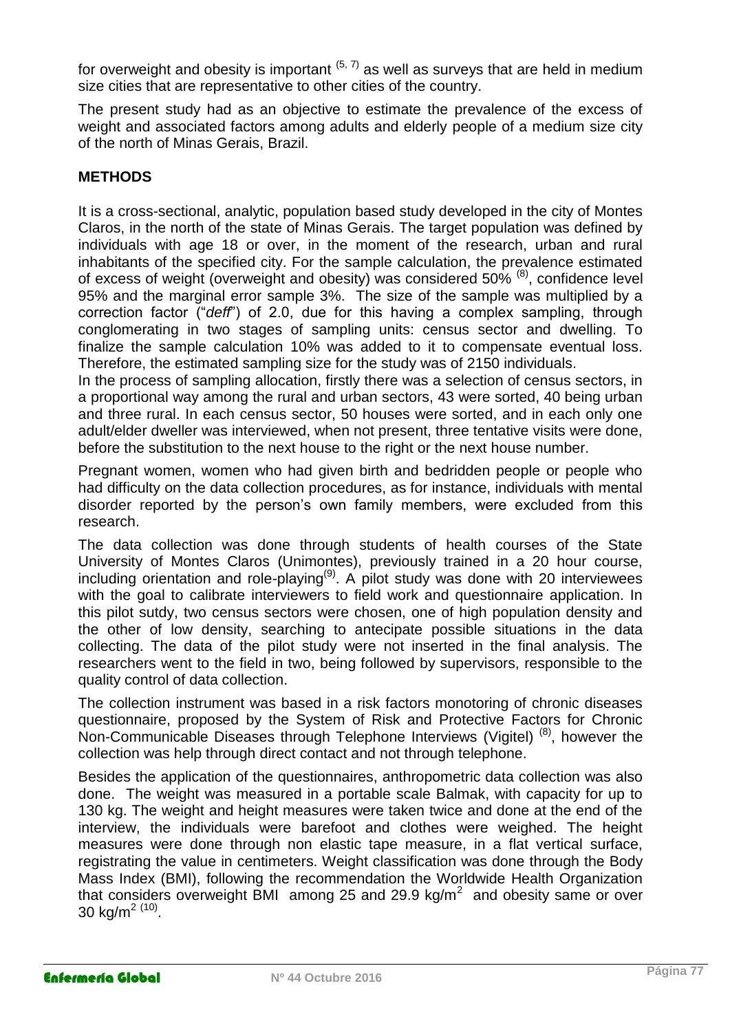for overweight and obesity is important  $(5, 7)$  as well as surveys that are held in medium size cities that are representative to other cities of the country.

The present study had as an objective to estimate the prevalence of the excess of weight and associated factors among adults and elderly people of a medium size city of the north of Minas Gerais, Brazil.

## **METHODS**

It is a cross-sectional, analytic, population based study developed in the city of Montes Claros, in the north of the state of Minas Gerais. The target population was defined by individuals with age 18 or over, in the moment of the research, urban and rural inhabitants of the specified city. For the sample calculation, the prevalence estimated of excess of weight (overweight and obesity) was considered 50% (8), confidence level 95% and the marginal error sample 3%. The size of the sample was multiplied by a correction factor ("*deff*") of 2.0, due for this having a complex sampling, through conglomerating in two stages of sampling units: census sector and dwelling. To finalize the sample calculation 10% was added to it to compensate eventual loss. Therefore, the estimated sampling size for the study was of 2150 individuals.

In the process of sampling allocation, firstly there was a selection of census sectors, in a proportional way among the rural and urban sectors, 43 were sorted, 40 being urban and three rural. In each census sector, 50 houses were sorted, and in each only one adult/elder dweller was interviewed, when not present, three tentative visits were done, before the substitution to the next house to the right or the next house number.

Pregnant women, women who had given birth and bedridden people or people who had difficulty on the data collection procedures, as for instance, individuals with mental disorder reported by the person's own family members, were excluded from this research.

The data collection was done through students of health courses of the State University of Montes Claros (Unimontes), previously trained in a 20 hour course, including orientation and role-playing<sup>(9)</sup>. A pilot study was done with 20 interviewees with the goal to calibrate interviewers to field work and questionnaire application. In this pilot sutdy, two census sectors were chosen, one of high population density and the other of low density, searching to antecipate possible situations in the data collecting. The data of the pilot study were not inserted in the final analysis. The researchers went to the field in two, being followed by supervisors, responsible to the quality control of data collection.

The collection instrument was based in a risk factors monotoring of chronic diseases questionnaire, proposed by the System of Risk and Protective Factors for Chronic Non-Communicable Diseases through Telephone Interviews (Vigitel)<sup>(8)</sup>, however the collection was help through direct contact and not through telephone.

Besides the application of the questionnaires, anthropometric data collection was also done. The weight was measured in a portable scale Balmak, with capacity for up to 130 kg. The weight and height measures were taken twice and done at the end of the interview, the individuals were barefoot and clothes were weighed. The height measures were done through non elastic tape measure, in a flat vertical surface, registrating the value in centimeters. Weight classification was done through the Body Mass Index (BMI), following the recommendation the Worldwide Health Organization that considers overweight BMI among 25 and 29.9 kg/m<sup>2</sup> and obesity same or over 30 kg/m<sup>2 (10)</sup>.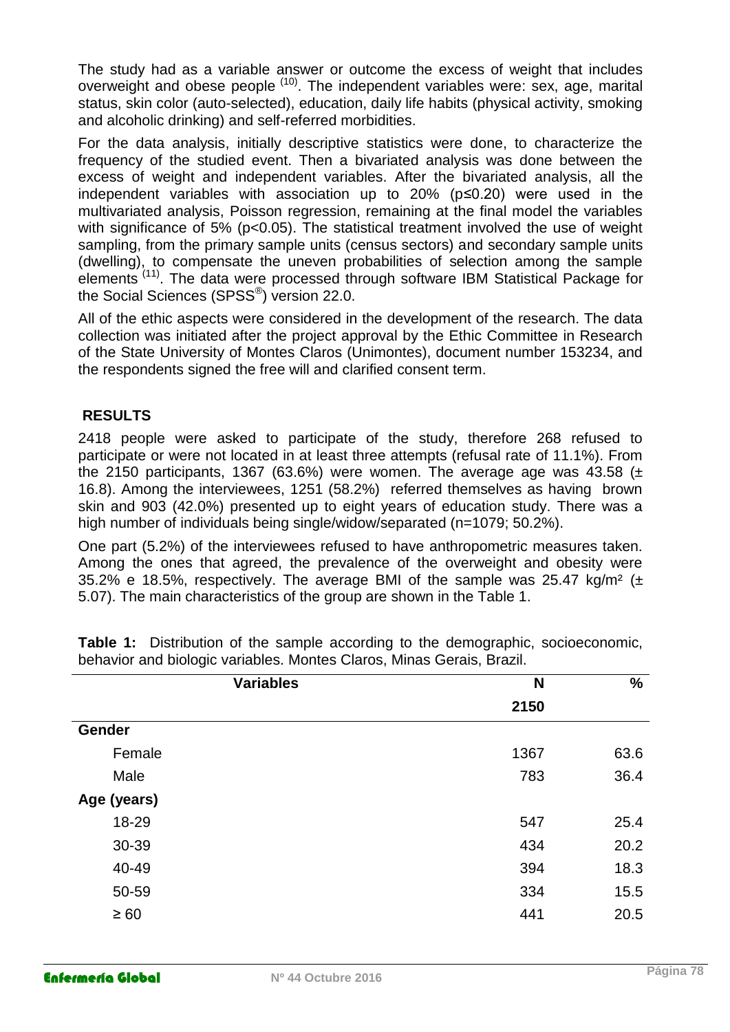The study had as a variable answer or outcome the excess of weight that includes overweight and obese people  $(10)$ . The independent variables were: sex, age, marital status, skin color (auto-selected), education, daily life habits (physical activity, smoking and alcoholic drinking) and self-referred morbidities.

For the data analysis, initially descriptive statistics were done, to characterize the frequency of the studied event. Then a bivariated analysis was done between the excess of weight and independent variables. After the bivariated analysis, all the independent variables with association up to 20% (p≤0.20) were used in the multivariated analysis, Poisson regression, remaining at the final model the variables with significance of 5% (p<0.05). The statistical treatment involved the use of weight sampling, from the primary sample units (census sectors) and secondary sample units (dwelling), to compensate the uneven probabilities of selection among the sample elements (11). The data were processed through software IBM Statistical Package for the Social Sciences (SPSS<sup>®</sup>) version 22.0.

All of the ethic aspects were considered in the development of the research. The data collection was initiated after the project approval by the Ethic Committee in Research of the State University of Montes Claros (Unimontes), document number 153234, and the respondents signed the free will and clarified consent term.

## **RESULTS**

2418 people were asked to participate of the study, therefore 268 refused to participate or were not located in at least three attempts (refusal rate of 11.1%). From the 2150 participants, 1367 (63.6%) were women. The average age was 43.58 ( $\pm$ 16.8). Among the interviewees, 1251 (58.2%) referred themselves as having brown skin and 903 (42.0%) presented up to eight years of education study. There was a high number of individuals being single/widow/separated (n=1079; 50.2%).

One part (5.2%) of the interviewees refused to have anthropometric measures taken. Among the ones that agreed, the prevalence of the overweight and obesity were 35.2% e 18.5%, respectively. The average BMI of the sample was 25.47 kg/m<sup>2</sup> ( $\pm$ 5.07). The main characteristics of the group are shown in the Table 1.

| <b>Variables</b> | N    | $\%$ |
|------------------|------|------|
|                  | 2150 |      |
| <b>Gender</b>    |      |      |
| Female           | 1367 | 63.6 |
| Male             | 783  | 36.4 |
| Age (years)      |      |      |
| 18-29            | 547  | 25.4 |
| 30-39            | 434  | 20.2 |
| 40-49            | 394  | 18.3 |
| 50-59            | 334  | 15.5 |
| $\geq 60$        | 441  | 20.5 |

**Table 1:** Distribution of the sample according to the demographic, socioeconomic, behavior and biologic variables. Montes Claros, Minas Gerais, Brazil.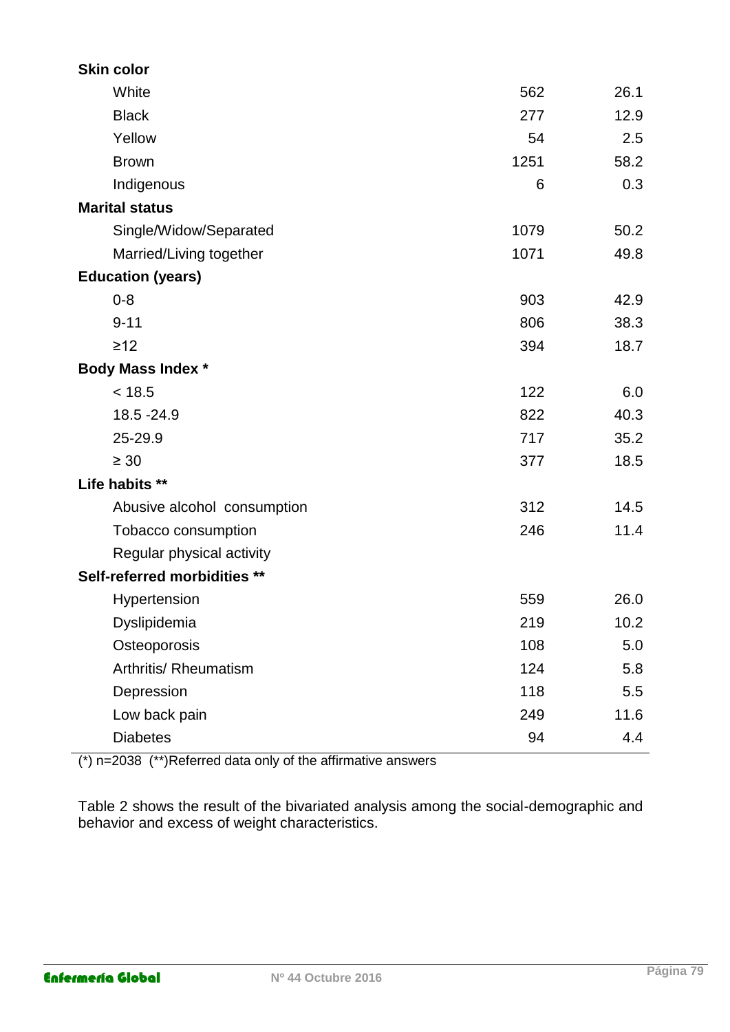| <b>Skin color</b>            |      |      |
|------------------------------|------|------|
| White                        | 562  | 26.1 |
| <b>Black</b>                 | 277  | 12.9 |
| Yellow                       | 54   | 2.5  |
| <b>Brown</b>                 | 1251 | 58.2 |
| Indigenous                   | 6    | 0.3  |
| <b>Marital status</b>        |      |      |
| Single/Widow/Separated       | 1079 | 50.2 |
| Married/Living together      | 1071 | 49.8 |
| <b>Education (years)</b>     |      |      |
| $0 - 8$                      | 903  | 42.9 |
| $9 - 11$                     | 806  | 38.3 |
| $\geq$ 12                    | 394  | 18.7 |
| <b>Body Mass Index *</b>     |      |      |
| < 18.5                       | 122  | 6.0  |
| 18.5 - 24.9                  | 822  | 40.3 |
| 25-29.9                      | 717  | 35.2 |
| $\geq 30$                    | 377  | 18.5 |
| Life habits **               |      |      |
| Abusive alcohol consumption  | 312  | 14.5 |
| Tobacco consumption          | 246  | 11.4 |
| Regular physical activity    |      |      |
| Self-referred morbidities ** |      |      |
| Hypertension                 | 559  | 26.0 |
| Dyslipidemia                 | 219  | 10.2 |
| Osteoporosis                 | 108  | 5.0  |
| Arthritis/ Rheumatism        | 124  | 5.8  |
| Depression                   | 118  | 5.5  |
| Low back pain                | 249  | 11.6 |
| <b>Diabetes</b>              | 94   | 4.4  |

(\*) n=2038 (\*\*)Referred data only of the affirmative answers

Table 2 shows the result of the bivariated analysis among the social-demographic and behavior and excess of weight characteristics.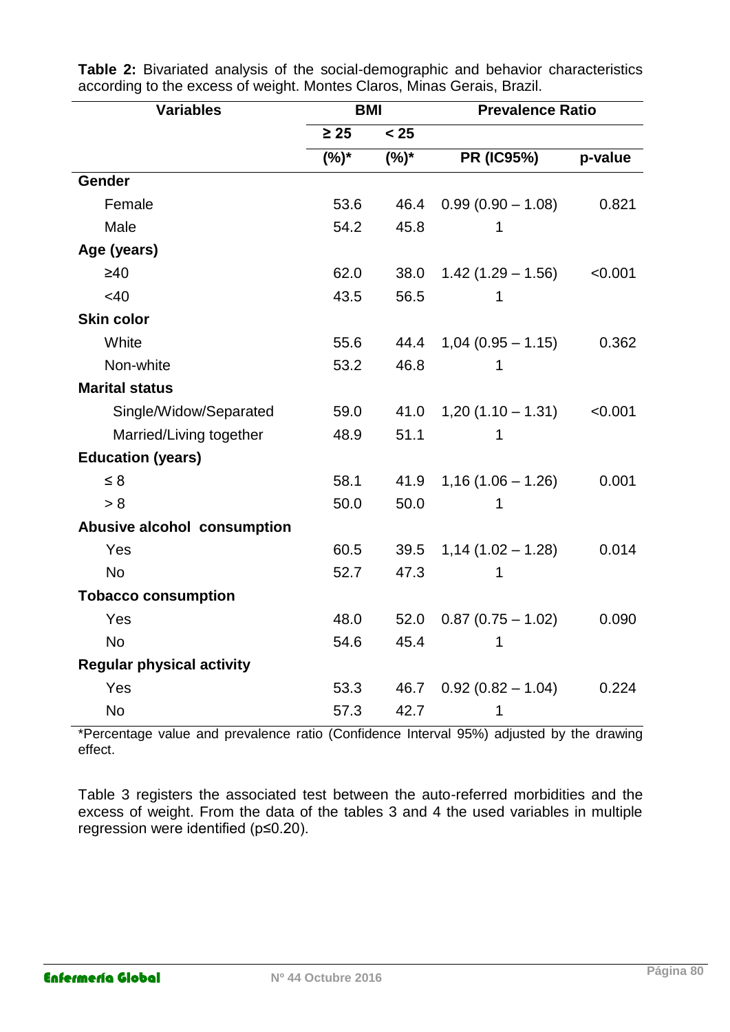| <b>Variables</b>                 | <b>BMI</b> |         | <b>Prevalence Ratio</b> |         |
|----------------------------------|------------|---------|-------------------------|---------|
|                                  | $\geq 25$  | < 25    |                         |         |
|                                  | $(%)^*$    | $(%)^*$ | <b>PR (IC95%)</b>       | p-value |
| Gender                           |            |         |                         |         |
| Female                           | 53.6       | 46.4    | $0.99(0.90 - 1.08)$     | 0.821   |
| Male                             | 54.2       | 45.8    | 1                       |         |
| Age (years)                      |            |         |                         |         |
| $\geq 40$                        | 62.0       | 38.0    | $1.42(1.29 - 1.56)$     | < 0.001 |
| <40                              | 43.5       | 56.5    | 1                       |         |
| <b>Skin color</b>                |            |         |                         |         |
| White                            | 55.6       | 44.4    | $1,04(0.95 - 1.15)$     | 0.362   |
| Non-white                        | 53.2       | 46.8    | 1                       |         |
| <b>Marital status</b>            |            |         |                         |         |
| Single/Widow/Separated           | 59.0       | 41.0    | $1,20(1.10 - 1.31)$     | < 0.001 |
| Married/Living together          | 48.9       | 51.1    | 1                       |         |
| <b>Education (years)</b>         |            |         |                         |         |
| $\leq 8$                         | 58.1       | 41.9    | $1,16(1.06 - 1.26)$     | 0.001   |
| > 8                              | 50.0       | 50.0    | 1                       |         |
| Abusive alcohol consumption      |            |         |                         |         |
| Yes                              | 60.5       | 39.5    | $1,14(1.02 - 1.28)$     | 0.014   |
| <b>No</b>                        | 52.7       | 47.3    |                         |         |
| <b>Tobacco consumption</b>       |            |         |                         |         |
| Yes                              | 48.0       | 52.0    | $0.87(0.75 - 1.02)$     | 0.090   |
| <b>No</b>                        | 54.6       | 45.4    | 1                       |         |
| <b>Regular physical activity</b> |            |         |                         |         |
| Yes                              | 53.3       | 46.7    | $0.92(0.82 - 1.04)$     | 0.224   |
| <b>No</b>                        | 57.3       | 42.7    | 1                       |         |

**Table 2:** Bivariated analysis of the social-demographic and behavior characteristics according to the excess of weight. Montes Claros, Minas Gerais, Brazil.

\*Percentage value and prevalence ratio (Confidence Interval 95%) adjusted by the drawing effect.

Table 3 registers the associated test between the auto-referred morbidities and the excess of weight. From the data of the tables 3 and 4 the used variables in multiple regression were identified (p≤0.20).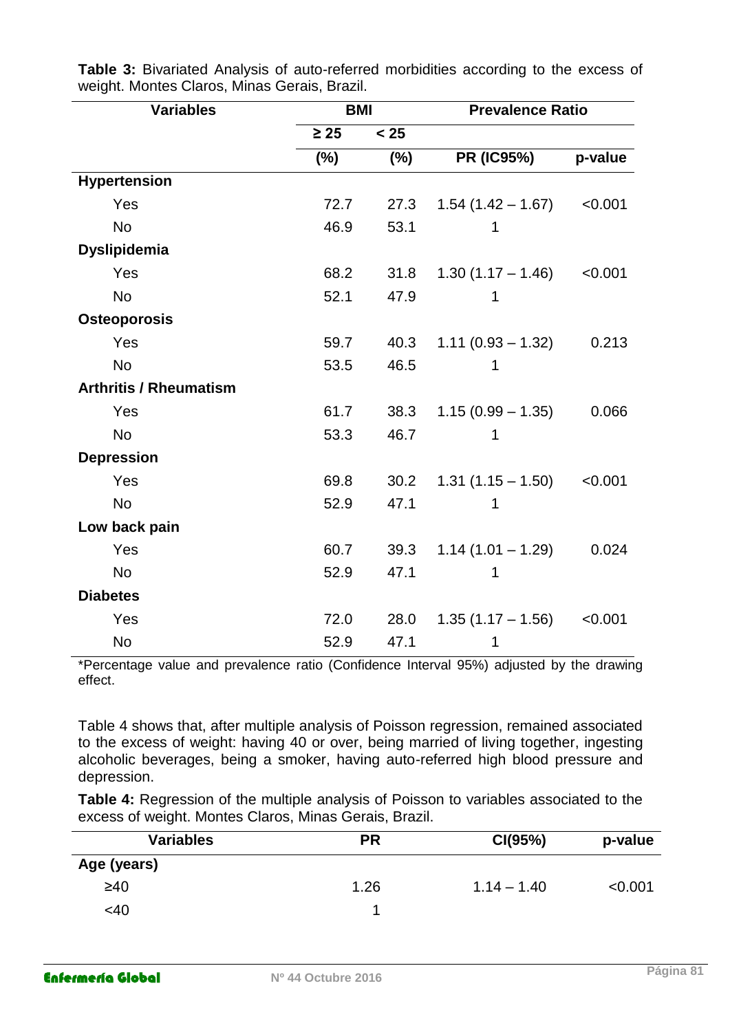| <b>Variables</b>              | <b>BMI</b> |      | <b>Prevalence Ratio</b> |         |
|-------------------------------|------------|------|-------------------------|---------|
|                               | $\geq 25$  | < 25 |                         |         |
|                               | $(\%)$     | (%)  | <b>PR (IC95%)</b>       | p-value |
| <b>Hypertension</b>           |            |      |                         |         |
| Yes                           | 72.7       | 27.3 | $1.54(1.42 - 1.67)$     | < 0.001 |
| <b>No</b>                     | 46.9       | 53.1 | 1                       |         |
| <b>Dyslipidemia</b>           |            |      |                         |         |
| Yes                           | 68.2       | 31.8 | $1.30(1.17 - 1.46)$     | < 0.001 |
| <b>No</b>                     | 52.1       | 47.9 | 1                       |         |
| <b>Osteoporosis</b>           |            |      |                         |         |
| Yes                           | 59.7       | 40.3 | $1.11(0.93 - 1.32)$     | 0.213   |
| <b>No</b>                     | 53.5       | 46.5 | 1                       |         |
| <b>Arthritis / Rheumatism</b> |            |      |                         |         |
| Yes                           | 61.7       | 38.3 | $1.15(0.99 - 1.35)$     | 0.066   |
| <b>No</b>                     | 53.3       | 46.7 | 1                       |         |
| <b>Depression</b>             |            |      |                         |         |
| Yes                           | 69.8       | 30.2 | $1.31(1.15 - 1.50)$     | < 0.001 |
| <b>No</b>                     | 52.9       | 47.1 | 1                       |         |
| Low back pain                 |            |      |                         |         |
| Yes                           | 60.7       | 39.3 | $1.14(1.01 - 1.29)$     | 0.024   |
| <b>No</b>                     | 52.9       | 47.1 | 1                       |         |
| <b>Diabetes</b>               |            |      |                         |         |
| Yes                           | 72.0       | 28.0 | $1.35(1.17 - 1.56)$     | < 0.001 |
| <b>No</b>                     | 52.9       | 47.1 | 1                       |         |

**Table 3:** Bivariated Analysis of auto-referred morbidities according to the excess of weight. Montes Claros, Minas Gerais, Brazil.

\*Percentage value and prevalence ratio (Confidence Interval 95%) adjusted by the drawing effect.

Table 4 shows that, after multiple analysis of Poisson regression, remained associated to the excess of weight: having 40 or over, being married of living together, ingesting alcoholic beverages, being a smoker, having auto-referred high blood pressure and depression.

**Table 4:** Regression of the multiple analysis of Poisson to variables associated to the excess of weight. Montes Claros, Minas Gerais, Brazil.

| <b>Variables</b> | <b>PR</b> | CI(95%)       | p-value |
|------------------|-----------|---------------|---------|
| Age (years)      |           |               |         |
| $\geq 40$        | 1.26      | $1.14 - 1.40$ | < 0.001 |
| <40              |           |               |         |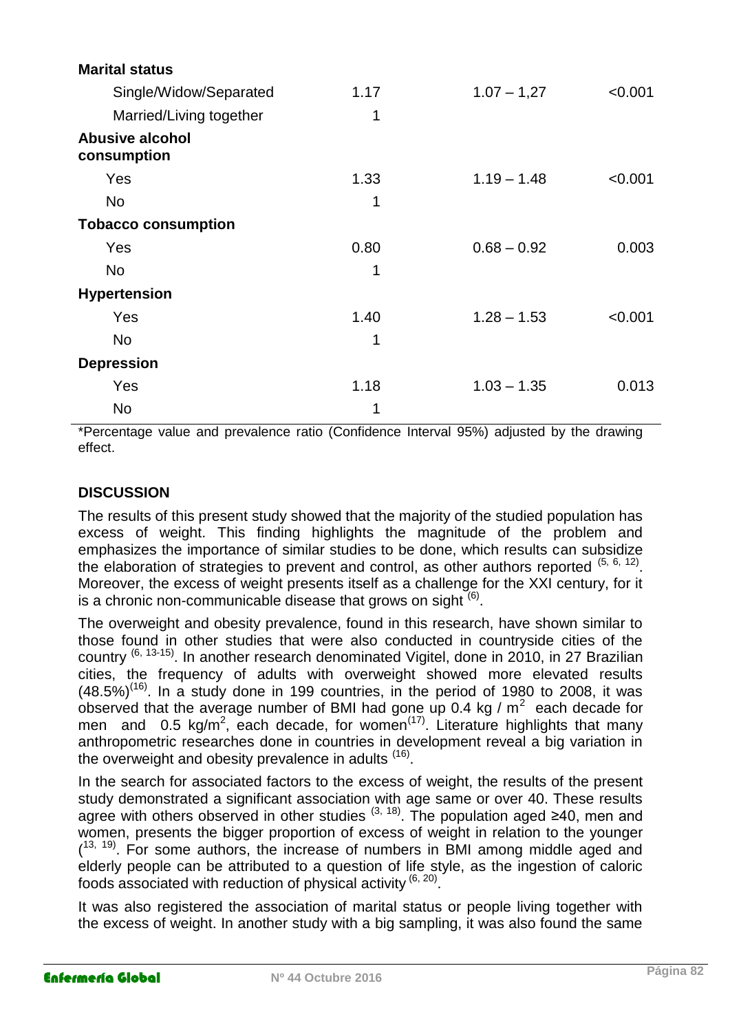| <b>Marital status</b>                 |      |               |         |
|---------------------------------------|------|---------------|---------|
| Single/Widow/Separated                | 1.17 | $1.07 - 1,27$ | < 0.001 |
| Married/Living together               | 1    |               |         |
| <b>Abusive alcohol</b><br>consumption |      |               |         |
| Yes                                   | 1.33 | $1.19 - 1.48$ | < 0.001 |
| <b>No</b>                             | 1    |               |         |
| <b>Tobacco consumption</b>            |      |               |         |
| Yes                                   | 0.80 | $0.68 - 0.92$ | 0.003   |
| <b>No</b>                             | 1    |               |         |
| <b>Hypertension</b>                   |      |               |         |
| Yes                                   | 1.40 | $1.28 - 1.53$ | < 0.001 |
| <b>No</b>                             | 1    |               |         |
| <b>Depression</b>                     |      |               |         |
| Yes                                   | 1.18 | $1.03 - 1.35$ | 0.013   |
| <b>No</b>                             | 1    |               |         |

\*Percentage value and prevalence ratio (Confidence Interval 95%) adjusted by the drawing effect.

## **DISCUSSION**

The results of this present study showed that the majority of the studied population has excess of weight. This finding highlights the magnitude of the problem and emphasizes the importance of similar studies to be done, which results can subsidize the elaboration of strategies to prevent and control, as other authors reported  $(5, 6, 12)$ . Moreover, the excess of weight presents itself as a challenge for the XXI century, for it is a chronic non-communicable disease that grows on sight  $(6)$ .

The overweight and obesity prevalence, found in this research, have shown similar to those found in other studies that were also conducted in countryside cities of the country  $^{(6, 13\cdot15)}$ . In another research denominated Vigitel, done in 2010, in 27 Brazilian cities, the frequency of adults with overweight showed more elevated results  $(48.5\%)^{(16)}$ . In a study done in 199 countries, in the period of 1980 to 2008, it was observed that the average number of BMI had gone up 0.4 kg /  $m^2$  each decade for men and 0.5 kg/m<sup>2</sup>, each decade, for women<sup>(17)</sup>. Literature highlights that many anthropometric researches done in countries in development reveal a big variation in the overweight and obesity prevalence in adults  $(16)$ .

In the search for associated factors to the excess of weight, the results of the present study demonstrated a significant association with age same or over 40. These results agree with others observed in other studies  $(3, 18)$ . The population aged ≥40, men and women, presents the bigger proportion of excess of weight in relation to the younger  $(13, 19)$ . For some authors, the increase of numbers in BMI among middle aged and elderly people can be attributed to a question of life style, as the ingestion of caloric foods associated with reduction of physical activity  $(6, 20)$ .

It was also registered the association of marital status or people living together with the excess of weight. In another study with a big sampling, it was also found the same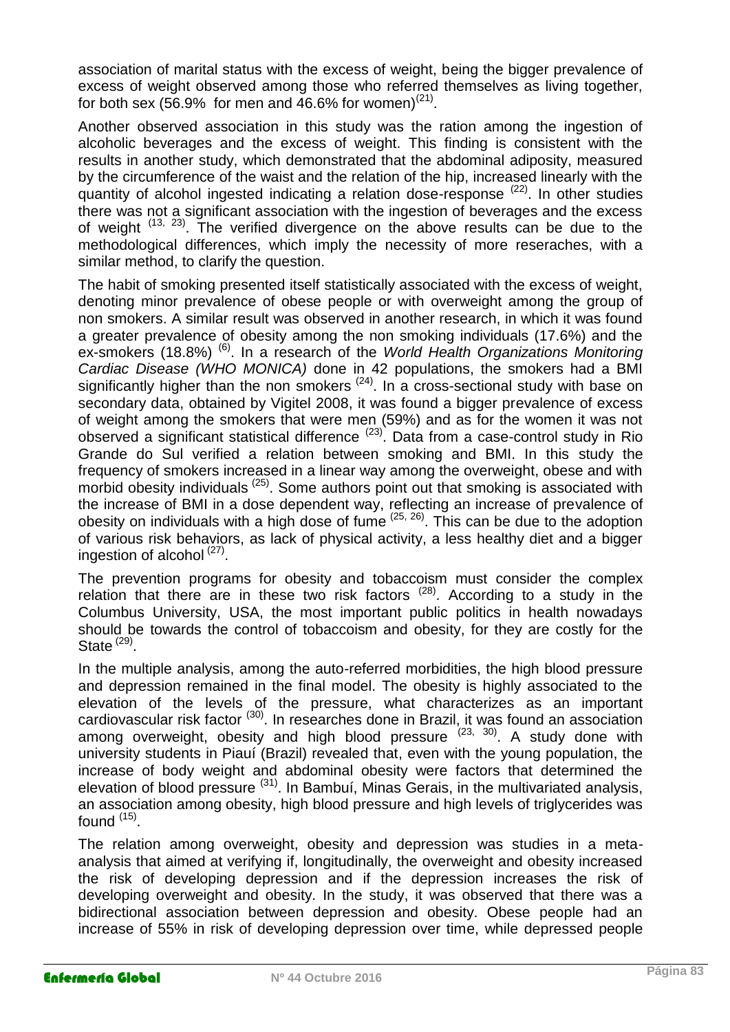association of marital status with the excess of weight, being the bigger prevalence of excess of weight observed among those who referred themselves as living together, for both sex (56.9% for men and 46.6% for women)<sup>(21)</sup>.

Another observed association in this study was the ration among the ingestion of alcoholic beverages and the excess of weight. This finding is consistent with the results in another study, which demonstrated that the abdominal adiposity, measured by the circumference of the waist and the relation of the hip, increased linearly with the quantity of alcohol ingested indicating a relation dose-response (22). In other studies there was not a significant association with the ingestion of beverages and the excess of weight  $(13, 23)$ . The verified divergence on the above results can be due to the methodological differences, which imply the necessity of more reseraches, with a similar method, to clarify the question.

The habit of smoking presented itself statistically associated with the excess of weight, denoting minor prevalence of obese people or with overweight among the group of non smokers. A similar result was observed in another research, in which it was found a greater prevalence of obesity among the non smoking individuals (17.6%) and the ex-smokers (18.8%) (6). In a research of the *World Health Organizations Monitoring Cardiac Disease (WHO MONICA)* done in 42 populations, the smokers had a BMI significantly higher than the non smokers <sup>(24)</sup>. In a cross-sectional study with base on secondary data, obtained by Vigitel 2008, it was found a bigger prevalence of excess of weight among the smokers that were men (59%) and as for the women it was not observed a significant statistical difference  $(23)$ . Data from a case-control study in Rio Grande do Sul verified a relation between smoking and BMI. In this study the frequency of smokers increased in a linear way among the overweight, obese and with morbid obesity individuals <sup>(25)</sup>. Some authors point out that smoking is associated with the increase of BMI in a dose dependent way, reflecting an increase of prevalence of obesity on individuals with a high dose of fume  $(25, 26)$ . This can be due to the adoption of various risk behaviors, as lack of physical activity, a less healthy diet and a bigger ingestion of alcohol<sup>(27)</sup>.

The prevention programs for obesity and tobaccoism must consider the complex relation that there are in these two risk factors  $(28)$ . According to a study in the Columbus University, USA, the most important public politics in health nowadays should be towards the control of tobaccoism and obesity, for they are costly for the State  $(29)$ .

In the multiple analysis, among the auto-referred morbidities, the high blood pressure and depression remained in the final model. The obesity is highly associated to the elevation of the levels of the pressure, what characterizes as an important cardiovascular risk factor <sup>(30)</sup>. In researches done in Brazil, it was found an association among overweight, obesity and high blood pressure (23, 30). A study done with university students in Piauí (Brazil) revealed that, even with the young population, the increase of body weight and abdominal obesity were factors that determined the elevation of blood pressure  $(31)$ . In Bambuí, Minas Gerais, in the multivariated analysis, an association among obesity, high blood pressure and high levels of triglycerides was found <sup>(15)</sup>.

The relation among overweight, obesity and depression was studies in a metaanalysis that aimed at verifying if, longitudinally, the overweight and obesity increased the risk of developing depression and if the depression increases the risk of developing overweight and obesity. In the study, it was observed that there was a bidirectional association between depression and obesity. Obese people had an increase of 55% in risk of developing depression over time, while depressed people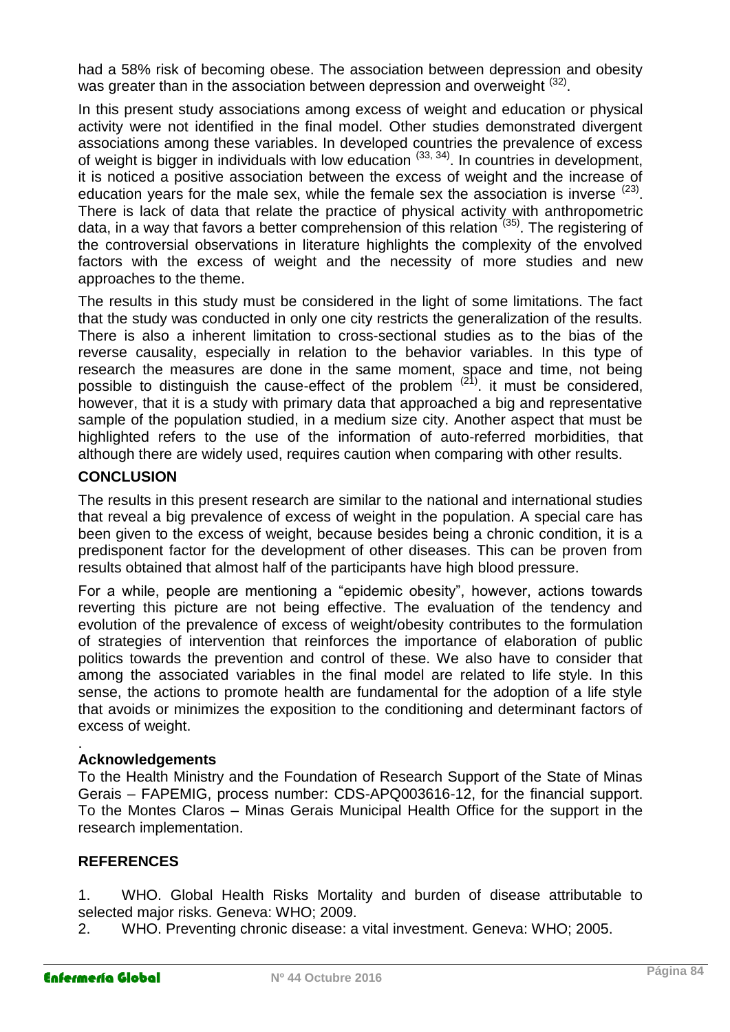had a 58% risk of becoming obese. The association between depression and obesity was greater than in the association between depression and overweight <sup>(32)</sup>.

In this present study associations among excess of weight and education or physical activity were not identified in the final model. Other studies demonstrated divergent associations among these variables. In developed countries the prevalence of excess of weight is bigger in individuals with low education (33, 34). In countries in development, it is noticed a positive association between the excess of weight and the increase of education years for the male sex, while the female sex the association is inverse  $(23)$ . There is lack of data that relate the practice of physical activity with anthropometric data, in a way that favors a better comprehension of this relation (35). The registering of the controversial observations in literature highlights the complexity of the envolved factors with the excess of weight and the necessity of more studies and new approaches to the theme.

The results in this study must be considered in the light of some limitations. The fact that the study was conducted in only one city restricts the generalization of the results. There is also a inherent limitation to cross-sectional studies as to the bias of the reverse causality, especially in relation to the behavior variables. In this type of research the measures are done in the same moment, space and time, not being possible to distinguish the cause-effect of the problem (21). it must be considered, however, that it is a study with primary data that approached a big and representative sample of the population studied, in a medium size city. Another aspect that must be highlighted refers to the use of the information of auto-referred morbidities, that although there are widely used, requires caution when comparing with other results.

## **CONCLUSION**

The results in this present research are similar to the national and international studies that reveal a big prevalence of excess of weight in the population. A special care has been given to the excess of weight, because besides being a chronic condition, it is a predisponent factor for the development of other diseases. This can be proven from results obtained that almost half of the participants have high blood pressure.

For a while, people are mentioning a "epidemic obesity", however, actions towards reverting this picture are not being effective. The evaluation of the tendency and evolution of the prevalence of excess of weight/obesity contributes to the formulation of strategies of intervention that reinforces the importance of elaboration of public politics towards the prevention and control of these. We also have to consider that among the associated variables in the final model are related to life style. In this sense, the actions to promote health are fundamental for the adoption of a life style that avoids or minimizes the exposition to the conditioning and determinant factors of excess of weight.

#### . **Acknowledgements**

To the Health Ministry and the Foundation of Research Support of the State of Minas Gerais – FAPEMIG, process number: CDS-APQ003616-12, for the financial support. To the Montes Claros – Minas Gerais Municipal Health Office for the support in the research implementation.

## **REFERENCES**

1. WHO. Global Health Risks Mortality and burden of disease attributable to selected major risks. Geneva: WHO; 2009.

2. WHO. Preventing chronic disease: a vital investment. Geneva: WHO; 2005.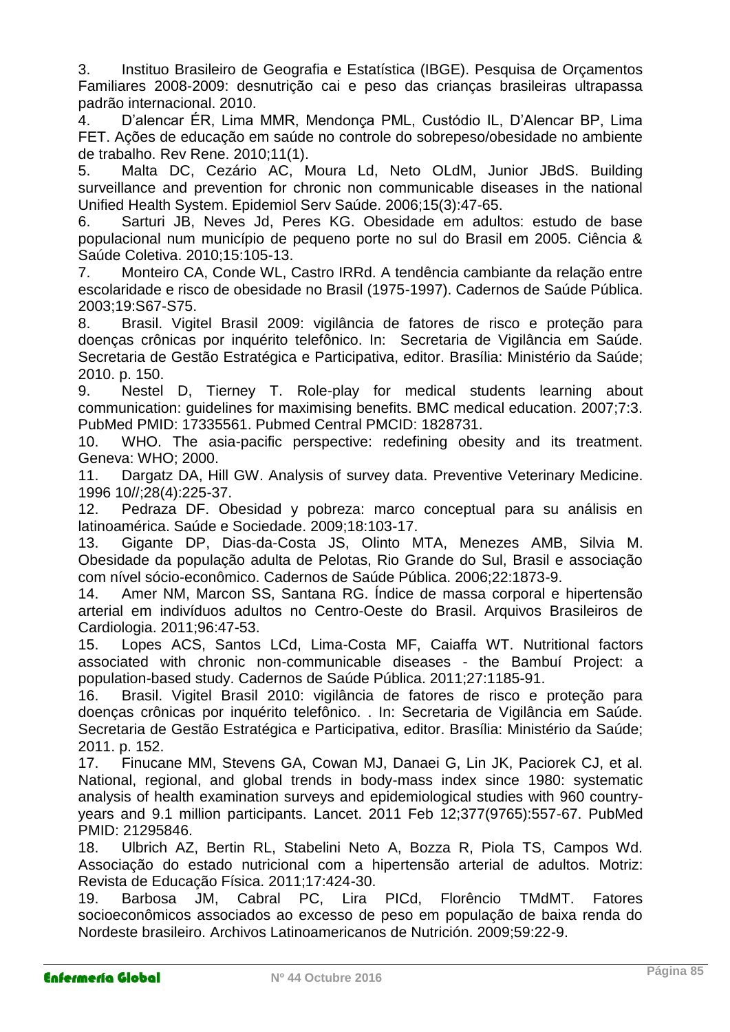3. Instituo Brasileiro de Geografia e Estatística (IBGE). Pesquisa de Orçamentos Familiares 2008-2009: desnutrição cai e peso das crianças brasileiras ultrapassa padrão internacional. 2010.

4. D'alencar ÉR, Lima MMR, Mendonça PML, Custódio IL, D'Alencar BP, Lima FET. Ações de educação em saúde no controle do sobrepeso/obesidade no ambiente de trabalho. Rev Rene. 2010;11(1).

5. Malta DC, Cezário AC, Moura Ld, Neto OLdM, Junior JBdS. Building surveillance and prevention for chronic non communicable diseases in the national Unified Health System. Epidemiol Serv Saúde. 2006;15(3):47-65.

6. Sarturi JB, Neves Jd, Peres KG. Obesidade em adultos: estudo de base populacional num município de pequeno porte no sul do Brasil em 2005. Ciência & Saúde Coletiva. 2010;15:105-13.

7. Monteiro CA, Conde WL, Castro IRRd. A tendência cambiante da relação entre escolaridade e risco de obesidade no Brasil (1975-1997). Cadernos de Saúde Pública. 2003;19:S67-S75.

8. Brasil. Vigitel Brasil 2009: vigilância de fatores de risco e proteção para doenças crônicas por inquérito telefônico. In: Secretaria de Vigilância em Saúde. Secretaria de Gestão Estratégica e Participativa, editor. Brasília: Ministério da Saúde; 2010. p. 150.

9. Nestel D, Tierney T. Role-play for medical students learning about communication: guidelines for maximising benefits. BMC medical education. 2007;7:3. PubMed PMID: 17335561. Pubmed Central PMCID: 1828731.

10. WHO. The asia-pacific perspective: redefining obesity and its treatment. Geneva: WHO; 2000.

11. Dargatz DA, Hill GW. Analysis of survey data. Preventive Veterinary Medicine. 1996 10//;28(4):225-37.

12. Pedraza DF. Obesidad y pobreza: marco conceptual para su análisis en latinoamérica. Saúde e Sociedade. 2009;18:103-17.

13. Gigante DP, Dias-da-Costa JS, Olinto MTA, Menezes AMB, Silvia M. Obesidade da população adulta de Pelotas, Rio Grande do Sul, Brasil e associação com nível sócio-econômico. Cadernos de Saúde Pública. 2006;22:1873-9.

14. Amer NM, Marcon SS, Santana RG. Índice de massa corporal e hipertensão arterial em indivíduos adultos no Centro-Oeste do Brasil. Arquivos Brasileiros de Cardiologia. 2011;96:47-53.

15. Lopes ACS, Santos LCd, Lima-Costa MF, Caiaffa WT. Nutritional factors associated with chronic non-communicable diseases - the Bambuí Project: a population-based study. Cadernos de Saúde Pública. 2011;27:1185-91.

16. Brasil. Vigitel Brasil 2010: vigilância de fatores de risco e proteção para doenças crônicas por inquérito telefônico. . In: Secretaria de Vigilância em Saúde. Secretaria de Gestão Estratégica e Participativa, editor. Brasília: Ministério da Saúde; 2011. p. 152.

17. Finucane MM, Stevens GA, Cowan MJ, Danaei G, Lin JK, Paciorek CJ, et al. National, regional, and global trends in body-mass index since 1980: systematic analysis of health examination surveys and epidemiological studies with 960 countryyears and 9.1 million participants. Lancet. 2011 Feb 12;377(9765):557-67. PubMed PMID: 21295846.

18. Ulbrich AZ, Bertin RL, Stabelini Neto A, Bozza R, Piola TS, Campos Wd. Associação do estado nutricional com a hipertensão arterial de adultos. Motriz: Revista de Educação Física. 2011;17:424-30.

19. Barbosa JM, Cabral PC, Lira PICd, Florêncio TMdMT. Fatores socioeconômicos associados ao excesso de peso em população de baixa renda do Nordeste brasileiro. Archivos Latinoamericanos de Nutrición. 2009;59:22-9.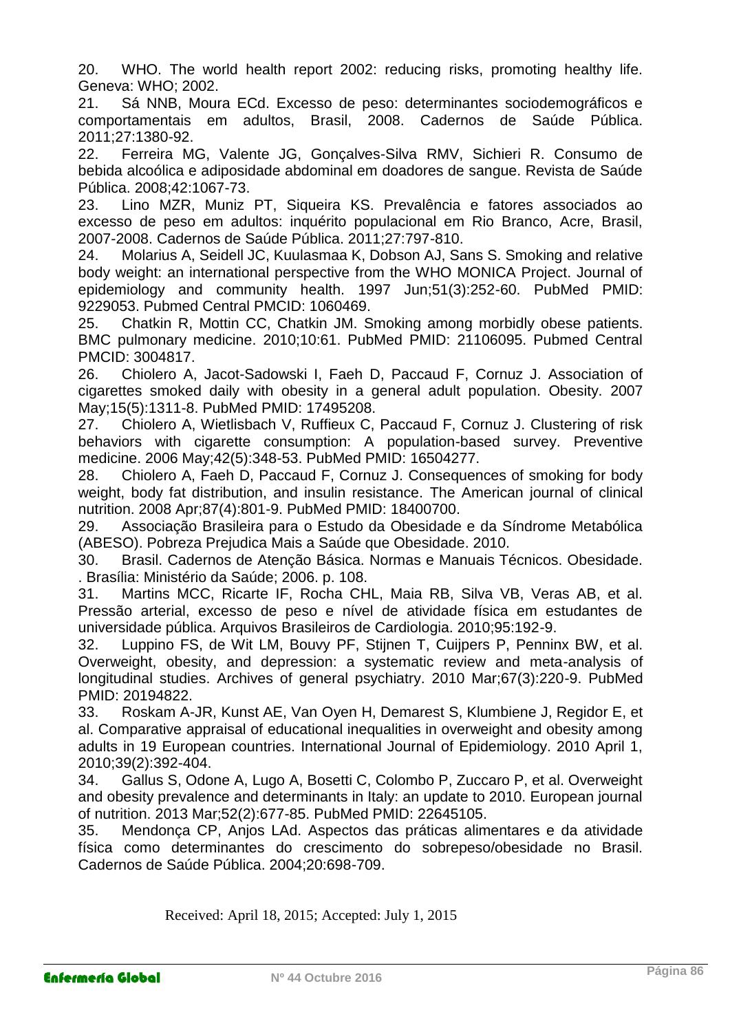20. WHO. The world health report 2002: reducing risks, promoting healthy life. Geneva: WHO; 2002.

21. Sá NNB, Moura ECd. Excesso de peso: determinantes sociodemográficos e comportamentais em adultos, Brasil, 2008. Cadernos de Saúde Pública. 2011;27:1380-92.

22. Ferreira MG, Valente JG, Gonçalves-Silva RMV, Sichieri R. Consumo de bebida alcoólica e adiposidade abdominal em doadores de sangue. Revista de Saúde Pública. 2008;42:1067-73.

23. Lino MZR, Muniz PT, Siqueira KS. Prevalência e fatores associados ao excesso de peso em adultos: inquérito populacional em Rio Branco, Acre, Brasil, 2007-2008. Cadernos de Saúde Pública. 2011;27:797-810.

24. Molarius A, Seidell JC, Kuulasmaa K, Dobson AJ, Sans S. Smoking and relative body weight: an international perspective from the WHO MONICA Project. Journal of epidemiology and community health. 1997 Jun;51(3):252-60. PubMed PMID: 9229053. Pubmed Central PMCID: 1060469.

25. Chatkin R, Mottin CC, Chatkin JM. Smoking among morbidly obese patients. BMC pulmonary medicine. 2010;10:61. PubMed PMID: 21106095. Pubmed Central PMCID: 3004817.

26. Chiolero A, Jacot-Sadowski I, Faeh D, Paccaud F, Cornuz J. Association of cigarettes smoked daily with obesity in a general adult population. Obesity. 2007 May;15(5):1311-8. PubMed PMID: 17495208.

27. Chiolero A, Wietlisbach V, Ruffieux C, Paccaud F, Cornuz J. Clustering of risk behaviors with cigarette consumption: A population-based survey. Preventive medicine. 2006 May;42(5):348-53. PubMed PMID: 16504277.

28. Chiolero A, Faeh D, Paccaud F, Cornuz J. Consequences of smoking for body weight, body fat distribution, and insulin resistance. The American journal of clinical nutrition. 2008 Apr;87(4):801-9. PubMed PMID: 18400700.

29. Associação Brasileira para o Estudo da Obesidade e da Síndrome Metabólica (ABESO). Pobreza Prejudica Mais a Saúde que Obesidade. 2010.

30. Brasil. Cadernos de Atenção Básica. Normas e Manuais Técnicos. Obesidade. . Brasília: Ministério da Saúde; 2006. p. 108.

31. Martins MCC, Ricarte IF, Rocha CHL, Maia RB, Silva VB, Veras AB, et al. Pressão arterial, excesso de peso e nível de atividade física em estudantes de universidade pública. Arquivos Brasileiros de Cardiologia. 2010;95:192-9.

32. Luppino FS, de Wit LM, Bouvy PF, Stijnen T, Cuijpers P, Penninx BW, et al. Overweight, obesity, and depression: a systematic review and meta-analysis of longitudinal studies. Archives of general psychiatry. 2010 Mar;67(3):220-9. PubMed PMID: 20194822.

33. Roskam A-JR, Kunst AE, Van Oyen H, Demarest S, Klumbiene J, Regidor E, et al. Comparative appraisal of educational inequalities in overweight and obesity among adults in 19 European countries. International Journal of Epidemiology. 2010 April 1, 2010;39(2):392-404.

34. Gallus S, Odone A, Lugo A, Bosetti C, Colombo P, Zuccaro P, et al. Overweight and obesity prevalence and determinants in Italy: an update to 2010. European journal of nutrition. 2013 Mar;52(2):677-85. PubMed PMID: 22645105.

35. Mendonça CP, Anjos LAd. Aspectos das práticas alimentares e da atividade física como determinantes do crescimento do sobrepeso/obesidade no Brasil. Cadernos de Saúde Pública. 2004;20:698-709.

Received: April 18, 2015; Accepted: July 1, 2015